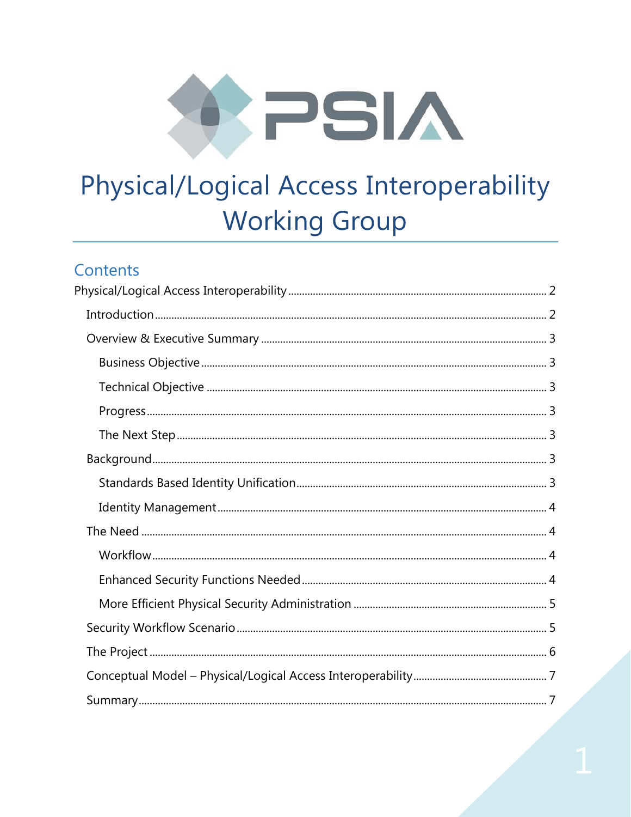

# Physical/Logical Access Interoperability **Working Group**

# Contents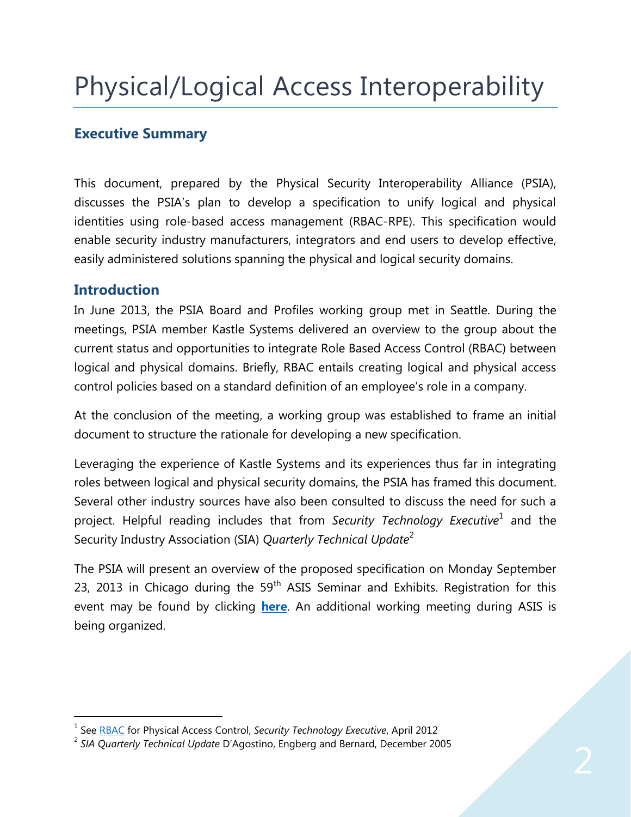# <span id="page-1-0"></span>Physical/Logical Access Interoperability

## <span id="page-1-1"></span>**Executive Summary**

This document, prepared by the Physical Security Interoperability Alliance (PSIA), discusses the PSIA's plan to develop a specification to unify logical and physical identities using role-based access management (RBAC-RPE). This specification would enable security industry manufacturers, integrators and end users to develop effective, easily administered solutions spanning the physical and logical security domains.

## **Introduction**

In June 2013, the PSIA Board and Profiles working group met in Seattle. During the meetings, PSIA member Kastle Systems delivered an overview to the group about the current status and opportunities to integrate Role Based Access Control (RBAC) between logical and physical domains. Briefly, RBAC entails creating logical and physical access control policies based on a standard definition of an employee's role in a company.

At the conclusion of the meeting, a working group was established to frame an initial document to structure the rationale for developing a new specification.

Leveraging the experience of Kastle Systems and its experiences thus far in integrating roles between logical and physical security domains, the PSIA has framed this document. Several other industry sources have also been consulted to discuss the need for such a project. Helpful reading includes that from Sec*urity Technology Executive*<sup>1</sup> and the Security Industry Association (SIA) *Quarterly Technical Update*<sup>2</sup>

The PSIA will present an overview of the proposed specification on Monday September 23, 2013 in Chicago during the  $59<sup>th</sup>$  ASIS Seminar and Exhibits. Registration for this event may be found by clicking **[here](http://events.r20.constantcontact.com/register/event?llr=clhybieab&oeidk=a07e7xa5gptf93dd2fb)**. An additional working meeting during ASIS is being organized.

 1 See [RBAC](http://www.securityinfowatch.com/article/10702175/rbac-for-physical-access) for Physical Access Control, *Security Technology Executive*, April 2012

<sup>2</sup> *SIA Quarterly Technical Update* D'Agostino, Engberg and Bernard, December 2005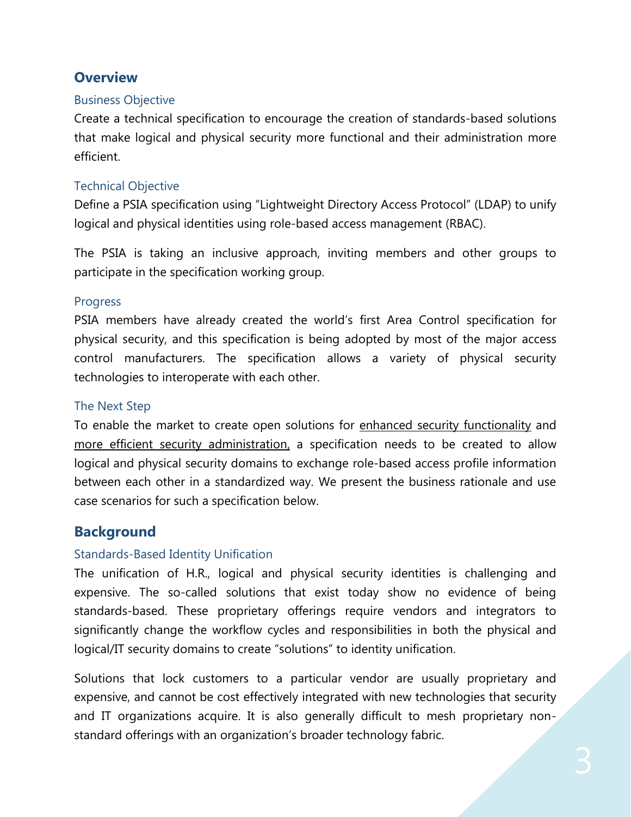## <span id="page-2-0"></span>**Overview**

#### <span id="page-2-1"></span>Business Objective

Create a technical specification to encourage the creation of standards-based solutions that make logical and physical security more functional and their administration more efficient.

#### <span id="page-2-2"></span>Technical Objective

Define a PSIA specification using "Lightweight Directory Access Protocol" (LDAP) to unify logical and physical identities using role-based access management (RBAC).

The PSIA is taking an inclusive approach, inviting members and other groups to participate in the specification working group.

#### <span id="page-2-3"></span>Progress

PSIA members have already created the world's first Area Control specification for physical security, and this specification is being adopted by most of the major access control manufacturers. The specification allows a variety of physical security technologies to interoperate with each other.

#### <span id="page-2-4"></span>The Next Step

To enable the market to create open solutions for enhanced security functionality and more efficient security administration, a specification needs to be created to allow logical and physical security domains to exchange role-based access profile information between each other in a standardized way. We present the business rationale and use case scenarios for such a specification below.

## <span id="page-2-5"></span>**Background**

#### <span id="page-2-6"></span>Standards-Based Identity Unification

The unification of H.R., logical and physical security identities is challenging and expensive. The so-called solutions that exist today show no evidence of being standards-based. These proprietary offerings require vendors and integrators to significantly change the workflow cycles and responsibilities in both the physical and logical/IT security domains to create "solutions" to identity unification.

Solutions that lock customers to a particular vendor are usually proprietary and expensive, and cannot be cost effectively integrated with new technologies that security and IT organizations acquire. It is also generally difficult to mesh proprietary nonstandard offerings with an organization's broader technology fabric.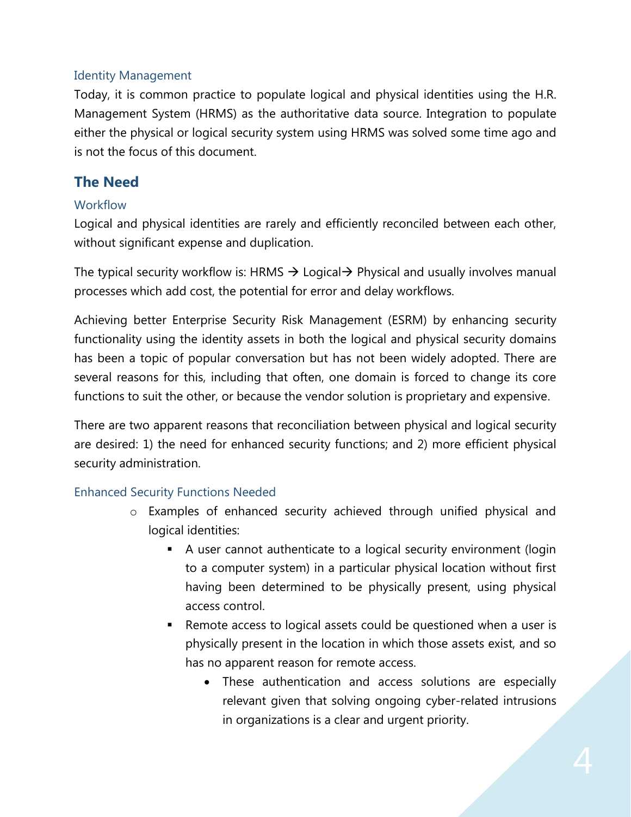## <span id="page-3-0"></span>Identity Management

Today, it is common practice to populate logical and physical identities using the H.R. Management System (HRMS) as the authoritative data source. Integration to populate either the physical or logical security system using HRMS was solved some time ago and is not the focus of this document.

## <span id="page-3-1"></span>**The Need**

## <span id="page-3-2"></span>**Workflow**

Logical and physical identities are rarely and efficiently reconciled between each other, without significant expense and duplication.

The typical security workflow is: HRMS  $\rightarrow$  Logical  $\rightarrow$  Physical and usually involves manual processes which add cost, the potential for error and delay workflows.

Achieving better Enterprise Security Risk Management (ESRM) by enhancing security functionality using the identity assets in both the logical and physical security domains has been a topic of popular conversation but has not been widely adopted. There are several reasons for this, including that often, one domain is forced to change its core functions to suit the other, or because the vendor solution is proprietary and expensive.

There are two apparent reasons that reconciliation between physical and logical security are desired: 1) the need for enhanced security functions; and 2) more efficient physical security administration.

## <span id="page-3-3"></span>Enhanced Security Functions Needed

- o Examples of enhanced security achieved through unified physical and logical identities:
	- A user cannot authenticate to a logical security environment (login to a computer system) in a particular physical location without first having been determined to be physically present, using physical access control.
	- Remote access to logical assets could be questioned when a user is physically present in the location in which those assets exist, and so has no apparent reason for remote access.
		- These authentication and access solutions are especially relevant given that solving ongoing cyber-related intrusions in organizations is a clear and urgent priority.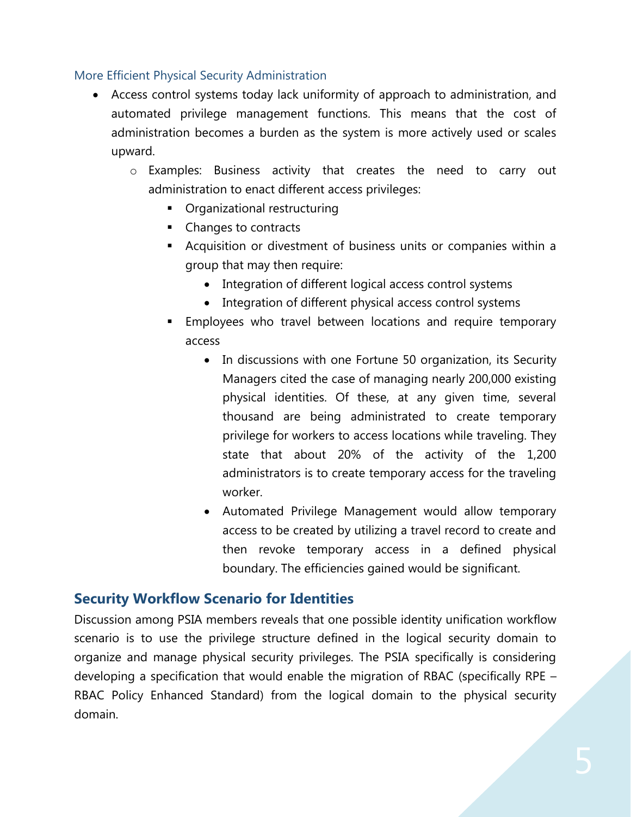#### <span id="page-4-0"></span>More Efficient Physical Security Administration

- Access control systems today lack uniformity of approach to administration, and automated privilege management functions. This means that the cost of administration becomes a burden as the system is more actively used or scales upward.
	- o Examples: Business activity that creates the need to carry out administration to enact different access privileges:
		- Organizational restructuring
		- Changes to contracts
		- Acquisition or divestment of business units or companies within a group that may then require:
			- Integration of different logical access control systems
			- Integration of different physical access control systems
		- Employees who travel between locations and require temporary access
			- In discussions with one Fortune 50 organization, its Security Managers cited the case of managing nearly 200,000 existing physical identities. Of these, at any given time, several thousand are being administrated to create temporary privilege for workers to access locations while traveling. They state that about 20% of the activity of the 1,200 administrators is to create temporary access for the traveling worker.
			- Automated Privilege Management would allow temporary access to be created by utilizing a travel record to create and then revoke temporary access in a defined physical boundary. The efficiencies gained would be significant.

# <span id="page-4-1"></span>**Security Workflow Scenario for Identities**

Discussion among PSIA members reveals that one possible identity unification workflow scenario is to use the privilege structure defined in the logical security domain to organize and manage physical security privileges. The PSIA specifically is considering developing a specification that would enable the migration of RBAC (specifically RPE – RBAC Policy Enhanced Standard) from the logical domain to the physical security domain.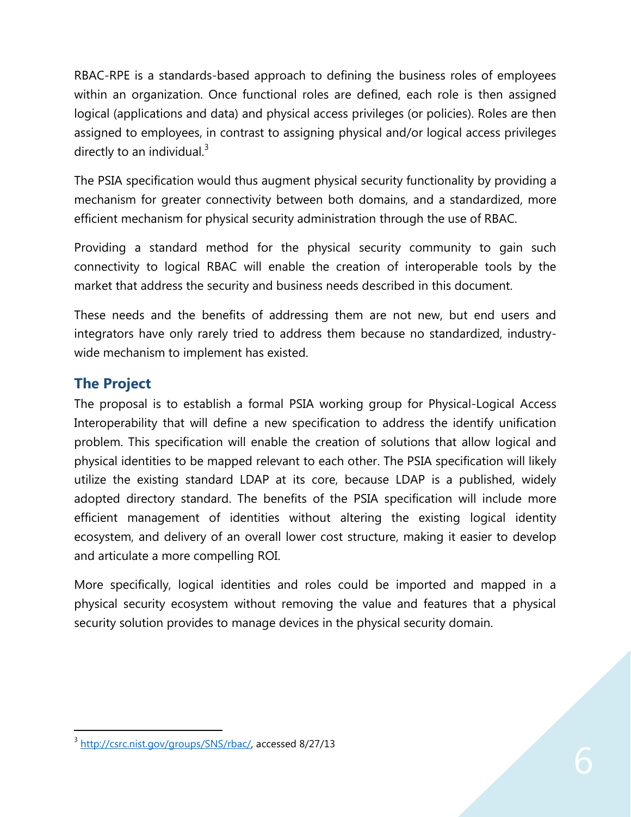RBAC-RPE is a standards-based approach to defining the business roles of employees within an organization. Once functional roles are defined, each role is then assigned logical (applications and data) and physical access privileges (or policies). Roles are then assigned to employees, in contrast to assigning physical and/or logical access privileges directly to an individual. $3$ 

The PSIA specification would thus augment physical security functionality by providing a mechanism for greater connectivity between both domains, and a standardized, more efficient mechanism for physical security administration through the use of RBAC.

Providing a standard method for the physical security community to gain such connectivity to logical RBAC will enable the creation of interoperable tools by the market that address the security and business needs described in this document.

These needs and the benefits of addressing them are not new, but end users and integrators have only rarely tried to address them because no standardized, industrywide mechanism to implement has existed.

# <span id="page-5-0"></span>**The Project**

 $\overline{a}$ 

The proposal is to establish a formal PSIA working group for Physical-Logical Access Interoperability that will define a new specification to address the identify unification problem. This specification will enable the creation of solutions that allow logical and physical identities to be mapped relevant to each other. The PSIA specification will likely utilize the existing standard LDAP at its core, because LDAP is a published, widely adopted directory standard. The benefits of the PSIA specification will include more efficient management of identities without altering the existing logical identity ecosystem, and delivery of an overall lower cost structure, making it easier to develop and articulate a more compelling ROI.

<span id="page-5-1"></span>More specifically, logical identities and roles could be imported and mapped in a physical security ecosystem without removing the value and features that a physical security solution provides to manage devices in the physical security domain.

<sup>&</sup>lt;sup>3</sup> [http://csrc.nist.gov/groups/SNS/rbac/,](http://csrc.nist.gov/groups/SNS/rbac/) accessed 8/27/13